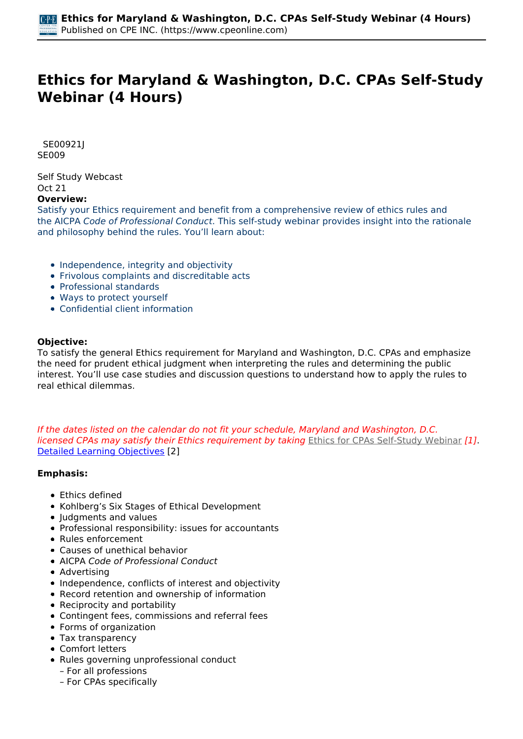# **Ethics for Maryland & Washington, D.C. CPAs Self-Study Webinar (4 Hours)**

 *SE00921J SE009* 

*Self Study Webcast Oct 21*  **Overview:** 

*Satisfy your Ethics requirement and benefit from a comprehensive review of ethics rules and the AICPA Code of Professional Conduct. This self-study webinar provides insight into the rationale and philosophy behind the rules. You'll learn about:*

- *Independence, integrity and objectivity*
- *Frivolous complaints and discreditable acts*
- *Professional standards*
- *Ways to protect yourself*
- *Confidential client information*

#### **Objective:**

*To satisfy the general Ethics requirement for Maryland and Washington, D.C. CPAs and emphasize the need for prudent ethical judgment when interpreting the rules and determining the public interest. You'll use case studies and discussion questions to understand how to apply the rules to real ethical dilemmas.*

*If the dates listed on the calendar do not fit your schedule, Maryland and Washington, D.C. licensed CPAs may satisfy their Ethics requirement by taking [Ethics for CPAs Self-Study Webinar](https://www.cpeonline.com/node/112855) [1]. [Detailed Learning Objectives](https://www.cpeonline.com/JavaScript:showObjectivesPopup();) [2]*

#### **Emphasis:**

- *Ethics defined*
- *Kohlberg's Six Stages of Ethical Development*
- *Judgments and values*
- *Professional responsibility: issues for accountants*
- *Rules enforcement*
- *Causes of unethical behavior*
- *AICPA Code of Professional Conduct*
- *Advertising*
- *Independence, conflicts of interest and objectivity*
- *Record retention and ownership of information*
- *Reciprocity and portability*
- *Contingent fees, commissions and referral fees*
- *Forms of organization*
- *Tax transparency*
- *Comfort letters*
- *Rules governing unprofessional conduct*
	- *For all professions*
	- *For CPAs specifically*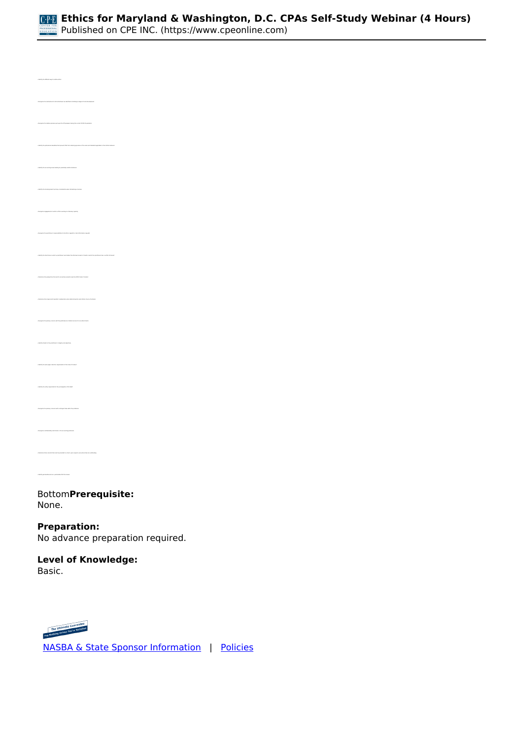

*• Identify the different ways to define ethics • Recognize the relative pressure put upon the CPA preparer during the current COVID-19 pandemic • Identify the professional mandates that prevent CPAs from claiming ignorance of the rules and standards applicable to their ethical behavior • Recognize engagements in which a CPA is working in a fiduciary capacity • Recognize the practitioner's responsibilities to the IRS in regards to client information requests • Determine the perspective from which accountancy boards view the AICPA Code of Conduct • Recognize the primary concern with the performance of attest services for non-attest clients • Identify the entity responsible for the promulgation of US GAAP • Recognize the primary concerns with contingent fees within the profession • Recognize confidentiality restrictions in the accounting profession • Determine those records that must be provided to a client, upon request, even where fees are outstanding • Identify permissible and non- permissible CPA firm names* 

*Bottom***Prerequisite:**  *None.*

**Preparation:**  *No advance preparation required.*

**Level of Knowledge:**  *Basic.*



 *[NASBA & State Sponsor Information](https://www.cpeonline.com/sponsor-information)  |  [Policies](https://www.cpeonline.com/policies)*